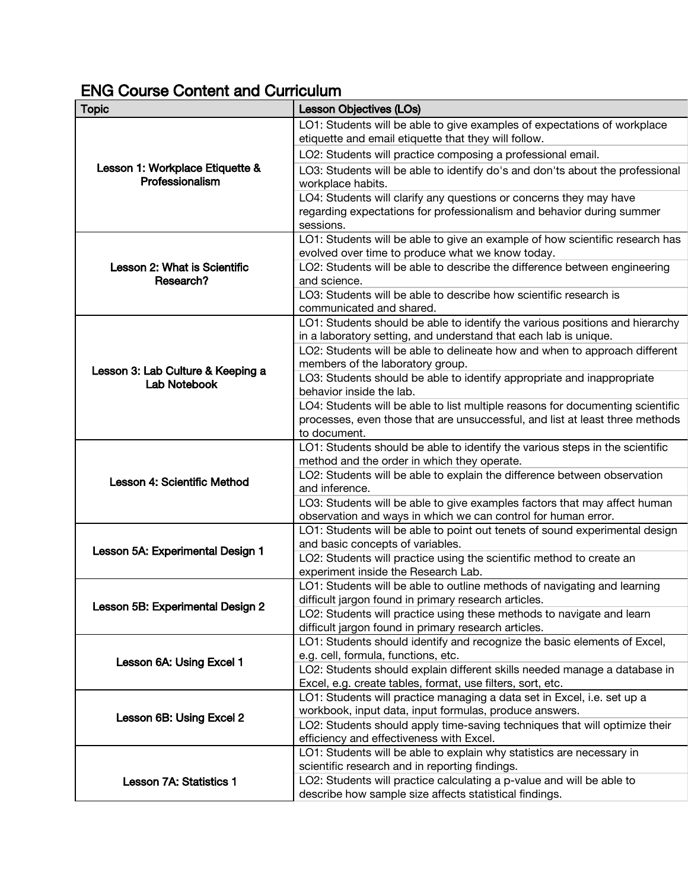## ENG Course Content and Curriculum

| LO1: Students will be able to give examples of expectations of workplace<br>etiquette and email etiquette that they will follow.<br>LO2: Students will practice composing a professional email.<br>Lesson 1: Workplace Etiquette &<br>LO3: Students will be able to identify do's and don'ts about the professional<br>Professionalism<br>workplace habits.<br>LO4: Students will clarify any questions or concerns they may have<br>regarding expectations for professionalism and behavior during summer<br>sessions.<br>LO1: Students will be able to give an example of how scientific research has<br>evolved over time to produce what we know today.<br>LO2: Students will be able to describe the difference between engineering<br>Lesson 2: What is Scientific<br>Research?<br>and science.<br>LO3: Students will be able to describe how scientific research is<br>communicated and shared.<br>LO1: Students should be able to identify the various positions and hierarchy<br>in a laboratory setting, and understand that each lab is unique.<br>LO2: Students will be able to delineate how and when to approach different<br>members of the laboratory group.<br>Lesson 3: Lab Culture & Keeping a<br>LO3: Students should be able to identify appropriate and inappropriate<br>Lab Notebook<br>behavior inside the lab.<br>LO4: Students will be able to list multiple reasons for documenting scientific<br>processes, even those that are unsuccessful, and list at least three methods<br>to document.<br>LO1: Students should be able to identify the various steps in the scientific<br>method and the order in which they operate.<br>LO2: Students will be able to explain the difference between observation<br>Lesson 4: Scientific Method<br>and inference.<br>LO3: Students will be able to give examples factors that may affect human<br>observation and ways in which we can control for human error.<br>LO1: Students will be able to point out tenets of sound experimental design<br>and basic concepts of variables.<br>Lesson 5A: Experimental Design 1<br>LO2: Students will practice using the scientific method to create an<br>experiment inside the Research Lab.<br>LO1: Students will be able to outline methods of navigating and learning<br>difficult jargon found in primary research articles.<br>Lesson 5B: Experimental Design 2<br>LO2: Students will practice using these methods to navigate and learn<br>difficult jargon found in primary research articles.<br>LO1: Students should identify and recognize the basic elements of Excel,<br>e.g. cell, formula, functions, etc.<br>Lesson 6A: Using Excel 1<br>LO2: Students should explain different skills needed manage a database in<br>Excel, e.g. create tables, format, use filters, sort, etc.<br>LO1: Students will practice managing a data set in Excel, i.e. set up a<br>workbook, input data, input formulas, produce answers.<br>Lesson 6B: Using Excel 2<br>LO2: Students should apply time-saving techniques that will optimize their | <b>Topic</b>            | <b>Lesson Objectives (LOs)</b> |
|-------------------------------------------------------------------------------------------------------------------------------------------------------------------------------------------------------------------------------------------------------------------------------------------------------------------------------------------------------------------------------------------------------------------------------------------------------------------------------------------------------------------------------------------------------------------------------------------------------------------------------------------------------------------------------------------------------------------------------------------------------------------------------------------------------------------------------------------------------------------------------------------------------------------------------------------------------------------------------------------------------------------------------------------------------------------------------------------------------------------------------------------------------------------------------------------------------------------------------------------------------------------------------------------------------------------------------------------------------------------------------------------------------------------------------------------------------------------------------------------------------------------------------------------------------------------------------------------------------------------------------------------------------------------------------------------------------------------------------------------------------------------------------------------------------------------------------------------------------------------------------------------------------------------------------------------------------------------------------------------------------------------------------------------------------------------------------------------------------------------------------------------------------------------------------------------------------------------------------------------------------------------------------------------------------------------------------------------------------------------------------------------------------------------------------------------------------------------------------------------------------------------------------------------------------------------------------------------------------------------------------------------------------------------------------------------------------------------------------------------------------------------------------------------------------------------------------------------------------------------------------------------------------------------------------------------------------------------------------------------------------------------------------------------------------------|-------------------------|--------------------------------|
|                                                                                                                                                                                                                                                                                                                                                                                                                                                                                                                                                                                                                                                                                                                                                                                                                                                                                                                                                                                                                                                                                                                                                                                                                                                                                                                                                                                                                                                                                                                                                                                                                                                                                                                                                                                                                                                                                                                                                                                                                                                                                                                                                                                                                                                                                                                                                                                                                                                                                                                                                                                                                                                                                                                                                                                                                                                                                                                                                                                                                                                             |                         |                                |
|                                                                                                                                                                                                                                                                                                                                                                                                                                                                                                                                                                                                                                                                                                                                                                                                                                                                                                                                                                                                                                                                                                                                                                                                                                                                                                                                                                                                                                                                                                                                                                                                                                                                                                                                                                                                                                                                                                                                                                                                                                                                                                                                                                                                                                                                                                                                                                                                                                                                                                                                                                                                                                                                                                                                                                                                                                                                                                                                                                                                                                                             |                         |                                |
|                                                                                                                                                                                                                                                                                                                                                                                                                                                                                                                                                                                                                                                                                                                                                                                                                                                                                                                                                                                                                                                                                                                                                                                                                                                                                                                                                                                                                                                                                                                                                                                                                                                                                                                                                                                                                                                                                                                                                                                                                                                                                                                                                                                                                                                                                                                                                                                                                                                                                                                                                                                                                                                                                                                                                                                                                                                                                                                                                                                                                                                             |                         |                                |
|                                                                                                                                                                                                                                                                                                                                                                                                                                                                                                                                                                                                                                                                                                                                                                                                                                                                                                                                                                                                                                                                                                                                                                                                                                                                                                                                                                                                                                                                                                                                                                                                                                                                                                                                                                                                                                                                                                                                                                                                                                                                                                                                                                                                                                                                                                                                                                                                                                                                                                                                                                                                                                                                                                                                                                                                                                                                                                                                                                                                                                                             |                         |                                |
|                                                                                                                                                                                                                                                                                                                                                                                                                                                                                                                                                                                                                                                                                                                                                                                                                                                                                                                                                                                                                                                                                                                                                                                                                                                                                                                                                                                                                                                                                                                                                                                                                                                                                                                                                                                                                                                                                                                                                                                                                                                                                                                                                                                                                                                                                                                                                                                                                                                                                                                                                                                                                                                                                                                                                                                                                                                                                                                                                                                                                                                             |                         |                                |
|                                                                                                                                                                                                                                                                                                                                                                                                                                                                                                                                                                                                                                                                                                                                                                                                                                                                                                                                                                                                                                                                                                                                                                                                                                                                                                                                                                                                                                                                                                                                                                                                                                                                                                                                                                                                                                                                                                                                                                                                                                                                                                                                                                                                                                                                                                                                                                                                                                                                                                                                                                                                                                                                                                                                                                                                                                                                                                                                                                                                                                                             |                         |                                |
|                                                                                                                                                                                                                                                                                                                                                                                                                                                                                                                                                                                                                                                                                                                                                                                                                                                                                                                                                                                                                                                                                                                                                                                                                                                                                                                                                                                                                                                                                                                                                                                                                                                                                                                                                                                                                                                                                                                                                                                                                                                                                                                                                                                                                                                                                                                                                                                                                                                                                                                                                                                                                                                                                                                                                                                                                                                                                                                                                                                                                                                             |                         |                                |
|                                                                                                                                                                                                                                                                                                                                                                                                                                                                                                                                                                                                                                                                                                                                                                                                                                                                                                                                                                                                                                                                                                                                                                                                                                                                                                                                                                                                                                                                                                                                                                                                                                                                                                                                                                                                                                                                                                                                                                                                                                                                                                                                                                                                                                                                                                                                                                                                                                                                                                                                                                                                                                                                                                                                                                                                                                                                                                                                                                                                                                                             |                         |                                |
|                                                                                                                                                                                                                                                                                                                                                                                                                                                                                                                                                                                                                                                                                                                                                                                                                                                                                                                                                                                                                                                                                                                                                                                                                                                                                                                                                                                                                                                                                                                                                                                                                                                                                                                                                                                                                                                                                                                                                                                                                                                                                                                                                                                                                                                                                                                                                                                                                                                                                                                                                                                                                                                                                                                                                                                                                                                                                                                                                                                                                                                             |                         |                                |
|                                                                                                                                                                                                                                                                                                                                                                                                                                                                                                                                                                                                                                                                                                                                                                                                                                                                                                                                                                                                                                                                                                                                                                                                                                                                                                                                                                                                                                                                                                                                                                                                                                                                                                                                                                                                                                                                                                                                                                                                                                                                                                                                                                                                                                                                                                                                                                                                                                                                                                                                                                                                                                                                                                                                                                                                                                                                                                                                                                                                                                                             |                         |                                |
|                                                                                                                                                                                                                                                                                                                                                                                                                                                                                                                                                                                                                                                                                                                                                                                                                                                                                                                                                                                                                                                                                                                                                                                                                                                                                                                                                                                                                                                                                                                                                                                                                                                                                                                                                                                                                                                                                                                                                                                                                                                                                                                                                                                                                                                                                                                                                                                                                                                                                                                                                                                                                                                                                                                                                                                                                                                                                                                                                                                                                                                             |                         |                                |
|                                                                                                                                                                                                                                                                                                                                                                                                                                                                                                                                                                                                                                                                                                                                                                                                                                                                                                                                                                                                                                                                                                                                                                                                                                                                                                                                                                                                                                                                                                                                                                                                                                                                                                                                                                                                                                                                                                                                                                                                                                                                                                                                                                                                                                                                                                                                                                                                                                                                                                                                                                                                                                                                                                                                                                                                                                                                                                                                                                                                                                                             |                         |                                |
|                                                                                                                                                                                                                                                                                                                                                                                                                                                                                                                                                                                                                                                                                                                                                                                                                                                                                                                                                                                                                                                                                                                                                                                                                                                                                                                                                                                                                                                                                                                                                                                                                                                                                                                                                                                                                                                                                                                                                                                                                                                                                                                                                                                                                                                                                                                                                                                                                                                                                                                                                                                                                                                                                                                                                                                                                                                                                                                                                                                                                                                             |                         |                                |
|                                                                                                                                                                                                                                                                                                                                                                                                                                                                                                                                                                                                                                                                                                                                                                                                                                                                                                                                                                                                                                                                                                                                                                                                                                                                                                                                                                                                                                                                                                                                                                                                                                                                                                                                                                                                                                                                                                                                                                                                                                                                                                                                                                                                                                                                                                                                                                                                                                                                                                                                                                                                                                                                                                                                                                                                                                                                                                                                                                                                                                                             |                         |                                |
|                                                                                                                                                                                                                                                                                                                                                                                                                                                                                                                                                                                                                                                                                                                                                                                                                                                                                                                                                                                                                                                                                                                                                                                                                                                                                                                                                                                                                                                                                                                                                                                                                                                                                                                                                                                                                                                                                                                                                                                                                                                                                                                                                                                                                                                                                                                                                                                                                                                                                                                                                                                                                                                                                                                                                                                                                                                                                                                                                                                                                                                             |                         |                                |
|                                                                                                                                                                                                                                                                                                                                                                                                                                                                                                                                                                                                                                                                                                                                                                                                                                                                                                                                                                                                                                                                                                                                                                                                                                                                                                                                                                                                                                                                                                                                                                                                                                                                                                                                                                                                                                                                                                                                                                                                                                                                                                                                                                                                                                                                                                                                                                                                                                                                                                                                                                                                                                                                                                                                                                                                                                                                                                                                                                                                                                                             |                         |                                |
|                                                                                                                                                                                                                                                                                                                                                                                                                                                                                                                                                                                                                                                                                                                                                                                                                                                                                                                                                                                                                                                                                                                                                                                                                                                                                                                                                                                                                                                                                                                                                                                                                                                                                                                                                                                                                                                                                                                                                                                                                                                                                                                                                                                                                                                                                                                                                                                                                                                                                                                                                                                                                                                                                                                                                                                                                                                                                                                                                                                                                                                             |                         |                                |
|                                                                                                                                                                                                                                                                                                                                                                                                                                                                                                                                                                                                                                                                                                                                                                                                                                                                                                                                                                                                                                                                                                                                                                                                                                                                                                                                                                                                                                                                                                                                                                                                                                                                                                                                                                                                                                                                                                                                                                                                                                                                                                                                                                                                                                                                                                                                                                                                                                                                                                                                                                                                                                                                                                                                                                                                                                                                                                                                                                                                                                                             |                         |                                |
|                                                                                                                                                                                                                                                                                                                                                                                                                                                                                                                                                                                                                                                                                                                                                                                                                                                                                                                                                                                                                                                                                                                                                                                                                                                                                                                                                                                                                                                                                                                                                                                                                                                                                                                                                                                                                                                                                                                                                                                                                                                                                                                                                                                                                                                                                                                                                                                                                                                                                                                                                                                                                                                                                                                                                                                                                                                                                                                                                                                                                                                             |                         |                                |
|                                                                                                                                                                                                                                                                                                                                                                                                                                                                                                                                                                                                                                                                                                                                                                                                                                                                                                                                                                                                                                                                                                                                                                                                                                                                                                                                                                                                                                                                                                                                                                                                                                                                                                                                                                                                                                                                                                                                                                                                                                                                                                                                                                                                                                                                                                                                                                                                                                                                                                                                                                                                                                                                                                                                                                                                                                                                                                                                                                                                                                                             |                         |                                |
|                                                                                                                                                                                                                                                                                                                                                                                                                                                                                                                                                                                                                                                                                                                                                                                                                                                                                                                                                                                                                                                                                                                                                                                                                                                                                                                                                                                                                                                                                                                                                                                                                                                                                                                                                                                                                                                                                                                                                                                                                                                                                                                                                                                                                                                                                                                                                                                                                                                                                                                                                                                                                                                                                                                                                                                                                                                                                                                                                                                                                                                             |                         |                                |
|                                                                                                                                                                                                                                                                                                                                                                                                                                                                                                                                                                                                                                                                                                                                                                                                                                                                                                                                                                                                                                                                                                                                                                                                                                                                                                                                                                                                                                                                                                                                                                                                                                                                                                                                                                                                                                                                                                                                                                                                                                                                                                                                                                                                                                                                                                                                                                                                                                                                                                                                                                                                                                                                                                                                                                                                                                                                                                                                                                                                                                                             |                         |                                |
| efficiency and effectiveness with Excel.                                                                                                                                                                                                                                                                                                                                                                                                                                                                                                                                                                                                                                                                                                                                                                                                                                                                                                                                                                                                                                                                                                                                                                                                                                                                                                                                                                                                                                                                                                                                                                                                                                                                                                                                                                                                                                                                                                                                                                                                                                                                                                                                                                                                                                                                                                                                                                                                                                                                                                                                                                                                                                                                                                                                                                                                                                                                                                                                                                                                                    |                         |                                |
| LO1: Students will be able to explain why statistics are necessary in<br>scientific research and in reporting findings.                                                                                                                                                                                                                                                                                                                                                                                                                                                                                                                                                                                                                                                                                                                                                                                                                                                                                                                                                                                                                                                                                                                                                                                                                                                                                                                                                                                                                                                                                                                                                                                                                                                                                                                                                                                                                                                                                                                                                                                                                                                                                                                                                                                                                                                                                                                                                                                                                                                                                                                                                                                                                                                                                                                                                                                                                                                                                                                                     | Lesson 7A: Statistics 1 |                                |
| LO2: Students will practice calculating a p-value and will be able to<br>describe how sample size affects statistical findings.                                                                                                                                                                                                                                                                                                                                                                                                                                                                                                                                                                                                                                                                                                                                                                                                                                                                                                                                                                                                                                                                                                                                                                                                                                                                                                                                                                                                                                                                                                                                                                                                                                                                                                                                                                                                                                                                                                                                                                                                                                                                                                                                                                                                                                                                                                                                                                                                                                                                                                                                                                                                                                                                                                                                                                                                                                                                                                                             |                         |                                |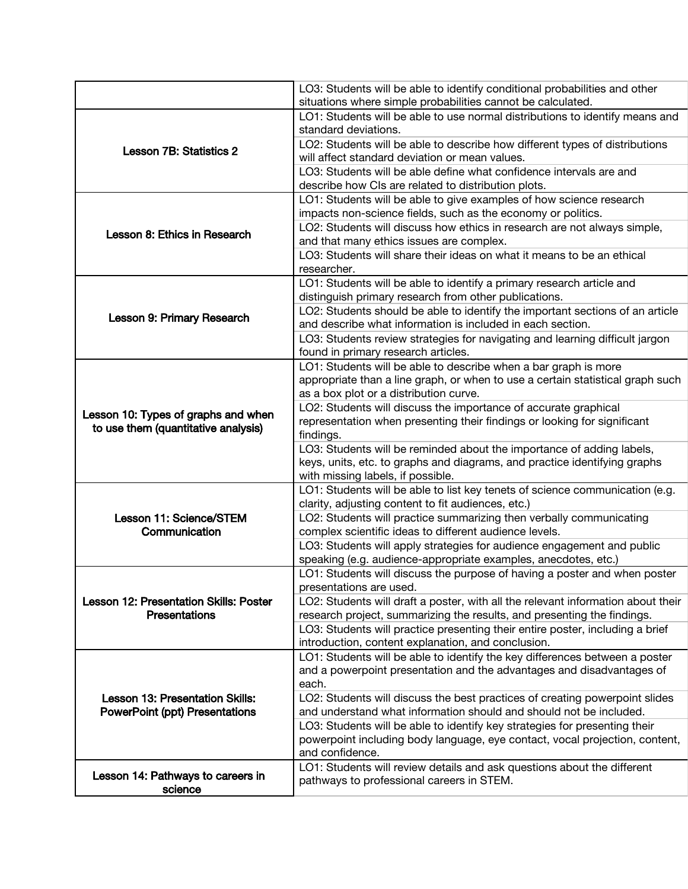|                                                                          | LO3: Students will be able to identify conditional probabilities and other<br>situations where simple probabilities cannot be calculated.                   |
|--------------------------------------------------------------------------|-------------------------------------------------------------------------------------------------------------------------------------------------------------|
|                                                                          | LO1: Students will be able to use normal distributions to identify means and                                                                                |
|                                                                          | standard deviations.                                                                                                                                        |
|                                                                          | LO2: Students will be able to describe how different types of distributions                                                                                 |
| Lesson 7B: Statistics 2                                                  | will affect standard deviation or mean values.                                                                                                              |
|                                                                          | LO3: Students will be able define what confidence intervals are and                                                                                         |
|                                                                          | describe how CIs are related to distribution plots.                                                                                                         |
|                                                                          | LO1: Students will be able to give examples of how science research                                                                                         |
| Lesson 8: Ethics in Research                                             | impacts non-science fields, such as the economy or politics.                                                                                                |
|                                                                          | LO2: Students will discuss how ethics in research are not always simple,                                                                                    |
|                                                                          | and that many ethics issues are complex.                                                                                                                    |
|                                                                          | LO3: Students will share their ideas on what it means to be an ethical                                                                                      |
|                                                                          | researcher.                                                                                                                                                 |
|                                                                          | LO1: Students will be able to identify a primary research article and                                                                                       |
|                                                                          | distinguish primary research from other publications.                                                                                                       |
| Lesson 9: Primary Research                                               | LO2: Students should be able to identify the important sections of an article                                                                               |
|                                                                          | and describe what information is included in each section.                                                                                                  |
|                                                                          | LO3: Students review strategies for navigating and learning difficult jargon                                                                                |
|                                                                          | found in primary research articles.                                                                                                                         |
|                                                                          | LO1: Students will be able to describe when a bar graph is more<br>appropriate than a line graph, or when to use a certain statistical graph such           |
|                                                                          | as a box plot or a distribution curve.                                                                                                                      |
|                                                                          | LO2: Students will discuss the importance of accurate graphical                                                                                             |
| Lesson 10: Types of graphs and when                                      | representation when presenting their findings or looking for significant                                                                                    |
| to use them (quantitative analysis)                                      | findings.                                                                                                                                                   |
|                                                                          | LO3: Students will be reminded about the importance of adding labels,                                                                                       |
|                                                                          | keys, units, etc. to graphs and diagrams, and practice identifying graphs                                                                                   |
|                                                                          | with missing labels, if possible.                                                                                                                           |
|                                                                          | LO1: Students will be able to list key tenets of science communication (e.g.                                                                                |
|                                                                          | clarity, adjusting content to fit audiences, etc.)                                                                                                          |
| Lesson 11: Science/STEM                                                  | LO2: Students will practice summarizing then verbally communicating                                                                                         |
| Communication                                                            | complex scientific ideas to different audience levels.                                                                                                      |
|                                                                          | LO3: Students will apply strategies for audience engagement and public                                                                                      |
|                                                                          | speaking (e.g. audience-appropriate examples, anecdotes, etc.)                                                                                              |
| Lesson 12: Presentation Skills: Poster<br><b>Presentations</b>           | LO1: Students will discuss the purpose of having a poster and when poster                                                                                   |
|                                                                          | presentations are used.                                                                                                                                     |
|                                                                          | LO2: Students will draft a poster, with all the relevant information about their<br>research project, summarizing the results, and presenting the findings. |
|                                                                          | LO3: Students will practice presenting their entire poster, including a brief                                                                               |
|                                                                          | introduction, content explanation, and conclusion.                                                                                                          |
| Lesson 13: Presentation Skills:<br><b>PowerPoint (ppt) Presentations</b> | LO1: Students will be able to identify the key differences between a poster                                                                                 |
|                                                                          | and a powerpoint presentation and the advantages and disadvantages of                                                                                       |
|                                                                          | each.                                                                                                                                                       |
|                                                                          | LO2: Students will discuss the best practices of creating powerpoint slides                                                                                 |
|                                                                          | and understand what information should and should not be included.                                                                                          |
|                                                                          | LO3: Students will be able to identify key strategies for presenting their                                                                                  |
|                                                                          | powerpoint including body language, eye contact, vocal projection, content,                                                                                 |
|                                                                          | and confidence.                                                                                                                                             |
| Lesson 14: Pathways to careers in                                        | LO1: Students will review details and ask questions about the different                                                                                     |
| science                                                                  | pathways to professional careers in STEM.                                                                                                                   |
|                                                                          |                                                                                                                                                             |